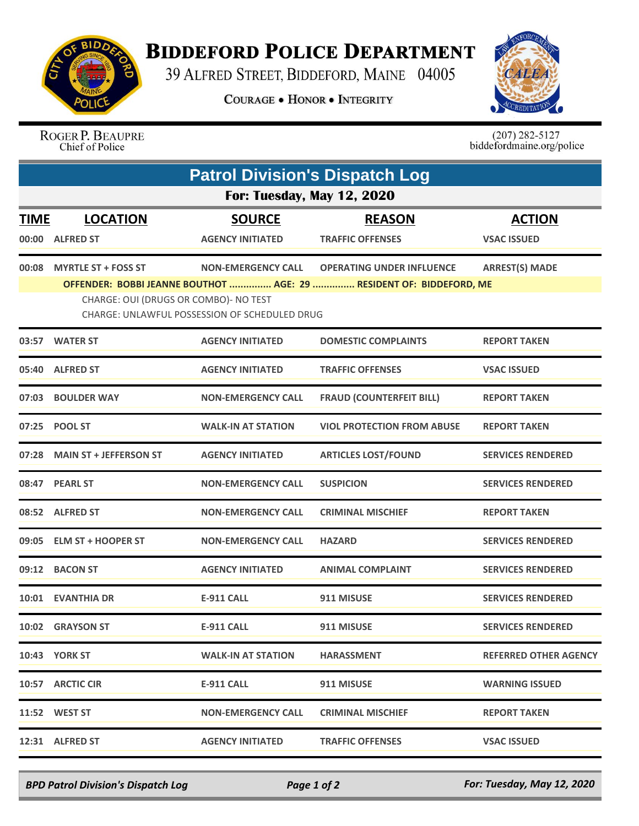

## **BIDDEFORD POLICE DEPARTMENT**

39 ALFRED STREET, BIDDEFORD, MAINE 04005

**COURAGE . HONOR . INTEGRITY** 



## ROGER P. BEAUPRE<br>Chief of Police

 $(207)$  282-5127<br>biddefordmaine.org/police

| <b>Patrol Division's Dispatch Log</b>                                                                                                                         |                              |                           |                                   |                          |  |  |
|---------------------------------------------------------------------------------------------------------------------------------------------------------------|------------------------------|---------------------------|-----------------------------------|--------------------------|--|--|
| <b>For: Tuesday, May 12, 2020</b>                                                                                                                             |                              |                           |                                   |                          |  |  |
| <u>TIME</u>                                                                                                                                                   | <b>LOCATION</b>              | <b>SOURCE</b>             | <b>REASON</b>                     | <b>ACTION</b>            |  |  |
| 00:00                                                                                                                                                         | <b>ALFRED ST</b>             | <b>AGENCY INITIATED</b>   | <b>TRAFFIC OFFENSES</b>           | <b>VSAC ISSUED</b>       |  |  |
| 00:08                                                                                                                                                         | <b>MYRTLE ST + FOSS ST</b>   | <b>NON-EMERGENCY CALL</b> | <b>OPERATING UNDER INFLUENCE</b>  | <b>ARREST(S) MADE</b>    |  |  |
| OFFENDER: BOBBI JEANNE BOUTHOT  AGE: 29  RESIDENT OF: BIDDEFORD, ME<br>CHARGE: OUI (DRUGS OR COMBO)- NO TEST<br>CHARGE: UNLAWFUL POSSESSION OF SCHEDULED DRUG |                              |                           |                                   |                          |  |  |
|                                                                                                                                                               | 03:57 WATER ST               | <b>AGENCY INITIATED</b>   | <b>DOMESTIC COMPLAINTS</b>        | <b>REPORT TAKEN</b>      |  |  |
|                                                                                                                                                               | 05:40 ALFRED ST              | <b>AGENCY INITIATED</b>   | <b>TRAFFIC OFFENSES</b>           | <b>VSAC ISSUED</b>       |  |  |
|                                                                                                                                                               | 07:03 BOULDER WAY            | <b>NON-EMERGENCY CALL</b> | <b>FRAUD (COUNTERFEIT BILL)</b>   | <b>REPORT TAKEN</b>      |  |  |
|                                                                                                                                                               | 07:25 POOL ST                | <b>WALK-IN AT STATION</b> | <b>VIOL PROTECTION FROM ABUSE</b> | <b>REPORT TAKEN</b>      |  |  |
|                                                                                                                                                               | 07:28 MAIN ST + JEFFERSON ST | <b>AGENCY INITIATED</b>   | <b>ARTICLES LOST/FOUND</b>        | <b>SERVICES RENDERED</b> |  |  |
|                                                                                                                                                               | 08:47 PEARL ST               | <b>NON-EMERGENCY CALL</b> | <b>SUSPICION</b>                  | <b>SERVICES RENDERED</b> |  |  |
|                                                                                                                                                               | 08:52 ALFRED ST              | <b>NON-EMERGENCY CALL</b> | <b>CRIMINAL MISCHIEF</b>          | <b>REPORT TAKEN</b>      |  |  |
|                                                                                                                                                               | 09:05 ELM ST + HOOPER ST     | <b>NON-EMERGENCY CALL</b> | <b>HAZARD</b>                     | <b>SERVICES RENDERED</b> |  |  |
|                                                                                                                                                               | 09:12 BACON ST               | <b>AGENCY INITIATED</b>   | <b>ANIMAL COMPLAINT</b>           | <b>SERVICES RENDERED</b> |  |  |
|                                                                                                                                                               | 10:01 EVANTHIA DR            | <b>E-911 CALL</b>         | 911 MISUSE                        | <b>SERVICES RENDERED</b> |  |  |
|                                                                                                                                                               | 10:02 GRAYSON ST             | <b>E-911 CALL</b>         | 911 MISUSE                        | <b>SERVICES RENDERED</b> |  |  |
|                                                                                                                                                               | <b>10:43 YORK ST</b>         | <b>WALK-IN AT STATION</b> | <b>HARASSMENT</b>                 | REFERRED OTHER AGENCY    |  |  |
|                                                                                                                                                               | 10:57 ARCTIC CIR             | E-911 CALL                | 911 MISUSE                        | <b>WARNING ISSUED</b>    |  |  |
|                                                                                                                                                               | 11:52 WEST ST                | <b>NON-EMERGENCY CALL</b> | <b>CRIMINAL MISCHIEF</b>          | <b>REPORT TAKEN</b>      |  |  |
|                                                                                                                                                               | 12:31 ALFRED ST              | <b>AGENCY INITIATED</b>   | <b>TRAFFIC OFFENSES</b>           | <b>VSAC ISSUED</b>       |  |  |

*BPD Patrol Division's Dispatch Log Page 1 of 2 For: Tuesday, May 12, 2020*